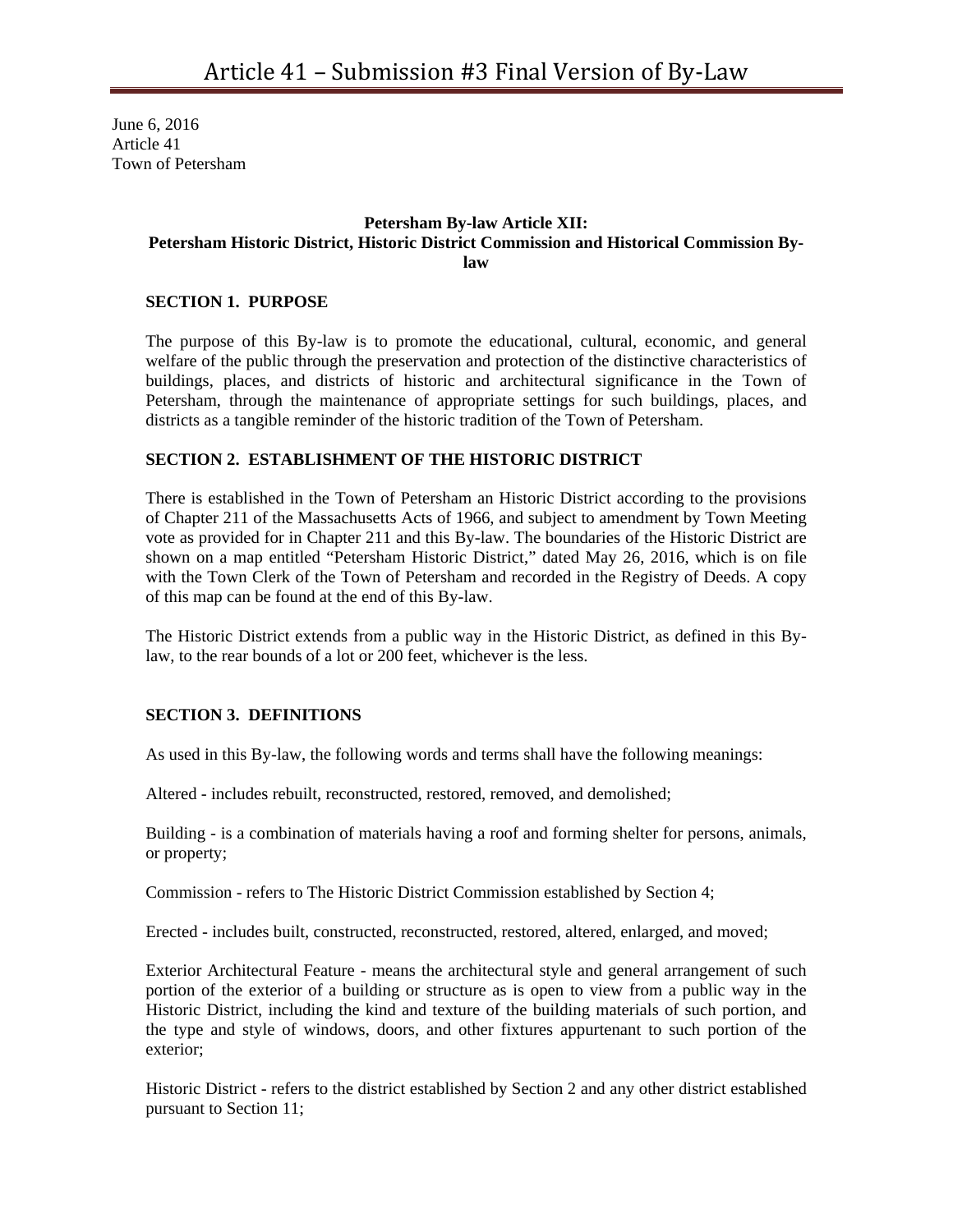June 6, 2016 Article 41 Town of Petersham

## **Petersham By-law Article XII: Petersham Historic District, Historic District Commission and Historical Commission Bylaw**

### **SECTION 1. PURPOSE**

The purpose of this By-law is to promote the educational, cultural, economic, and general welfare of the public through the preservation and protection of the distinctive characteristics of buildings, places, and districts of historic and architectural significance in the Town of Petersham, through the maintenance of appropriate settings for such buildings, places, and districts as a tangible reminder of the historic tradition of the Town of Petersham.

#### **SECTION 2. ESTABLISHMENT OF THE HISTORIC DISTRICT**

There is established in the Town of Petersham an Historic District according to the provisions of Chapter 211 of the Massachusetts Acts of 1966, and subject to amendment by Town Meeting vote as provided for in Chapter 211 and this By-law. The boundaries of the Historic District are shown on a map entitled "Petersham Historic District," dated May 26, 2016, which is on file with the Town Clerk of the Town of Petersham and recorded in the Registry of Deeds. A copy of this map can be found at the end of this By-law.

The Historic District extends from a public way in the Historic District, as defined in this Bylaw, to the rear bounds of a lot or 200 feet, whichever is the less.

### **SECTION 3. DEFINITIONS**

As used in this By-law, the following words and terms shall have the following meanings:

Altered - includes rebuilt, reconstructed, restored, removed, and demolished;

Building - is a combination of materials having a roof and forming shelter for persons, animals, or property;

Commission - refers to The Historic District Commission established by Section 4;

Erected - includes built, constructed, reconstructed, restored, altered, enlarged, and moved;

Exterior Architectural Feature - means the architectural style and general arrangement of such portion of the exterior of a building or structure as is open to view from a public way in the Historic District, including the kind and texture of the building materials of such portion, and the type and style of windows, doors, and other fixtures appurtenant to such portion of the exterior;

Historic District - refers to the district established by Section 2 and any other district established pursuant to Section 11;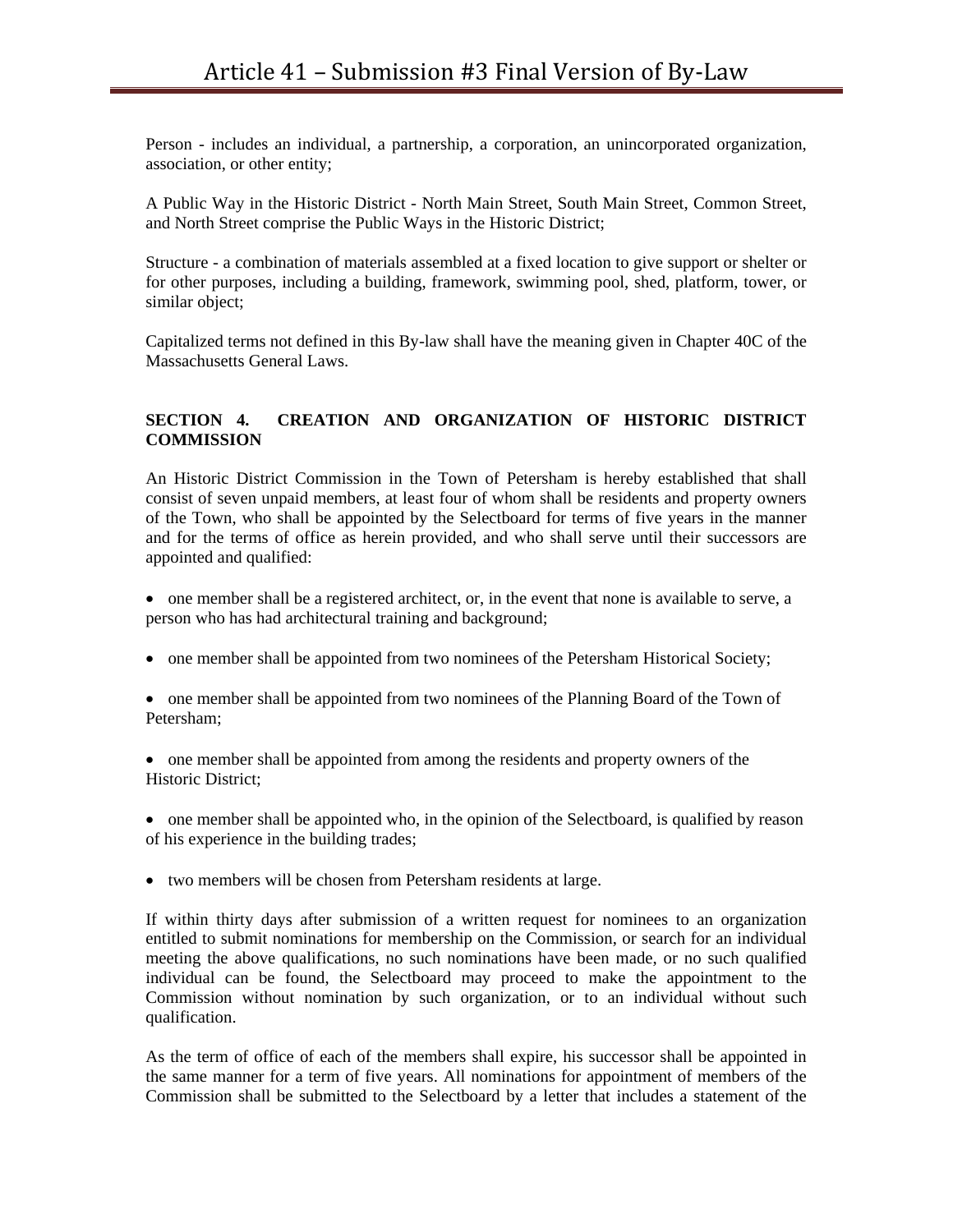Person - includes an individual, a partnership, a corporation, an unincorporated organization, association, or other entity;

A Public Way in the Historic District - North Main Street, South Main Street, Common Street, and North Street comprise the Public Ways in the Historic District;

Structure - a combination of materials assembled at a fixed location to give support or shelter or for other purposes, including a building, framework, swimming pool, shed, platform, tower, or similar object;

Capitalized terms not defined in this By-law shall have the meaning given in Chapter 40C of the Massachusetts General Laws.

# **SECTION 4. CREATION AND ORGANIZATION OF HISTORIC DISTRICT COMMISSION**

An Historic District Commission in the Town of Petersham is hereby established that shall consist of seven unpaid members, at least four of whom shall be residents and property owners of the Town, who shall be appointed by the Selectboard for terms of five years in the manner and for the terms of office as herein provided, and who shall serve until their successors are appointed and qualified:

- one member shall be a registered architect, or, in the event that none is available to serve, a person who has had architectural training and background;
- one member shall be appointed from two nominees of the Petersham Historical Society;

• one member shall be appointed from two nominees of the Planning Board of the Town of Petersham;

 one member shall be appointed from among the residents and property owners of the Historic District;

• one member shall be appointed who, in the opinion of the Selectboard, is qualified by reason of his experience in the building trades;

two members will be chosen from Petersham residents at large.

If within thirty days after submission of a written request for nominees to an organization entitled to submit nominations for membership on the Commission, or search for an individual meeting the above qualifications, no such nominations have been made, or no such qualified individual can be found, the Selectboard may proceed to make the appointment to the Commission without nomination by such organization, or to an individual without such qualification.

As the term of office of each of the members shall expire, his successor shall be appointed in the same manner for a term of five years. All nominations for appointment of members of the Commission shall be submitted to the Selectboard by a letter that includes a statement of the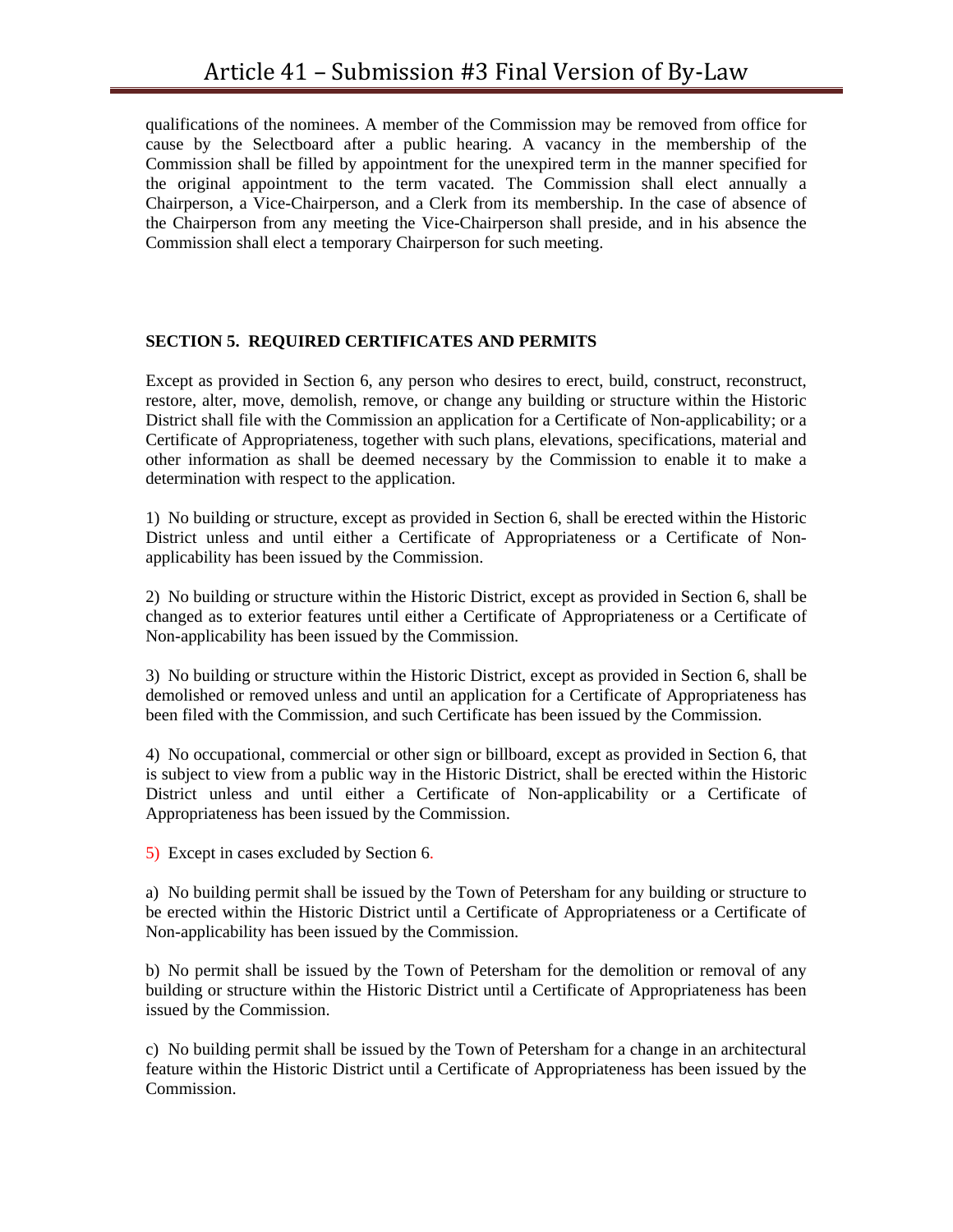qualifications of the nominees. A member of the Commission may be removed from office for cause by the Selectboard after a public hearing. A vacancy in the membership of the Commission shall be filled by appointment for the unexpired term in the manner specified for the original appointment to the term vacated. The Commission shall elect annually a Chairperson, a Vice-Chairperson, and a Clerk from its membership. In the case of absence of the Chairperson from any meeting the Vice-Chairperson shall preside, and in his absence the Commission shall elect a temporary Chairperson for such meeting.

### **SECTION 5. REQUIRED CERTIFICATES AND PERMITS**

Except as provided in Section 6, any person who desires to erect, build, construct, reconstruct, restore, alter, move, demolish, remove, or change any building or structure within the Historic District shall file with the Commission an application for a Certificate of Non-applicability; or a Certificate of Appropriateness, together with such plans, elevations, specifications, material and other information as shall be deemed necessary by the Commission to enable it to make a determination with respect to the application.

1) No building or structure, except as provided in Section 6, shall be erected within the Historic District unless and until either a Certificate of Appropriateness or a Certificate of Nonapplicability has been issued by the Commission.

2) No building or structure within the Historic District, except as provided in Section 6, shall be changed as to exterior features until either a Certificate of Appropriateness or a Certificate of Non-applicability has been issued by the Commission.

3) No building or structure within the Historic District, except as provided in Section 6, shall be demolished or removed unless and until an application for a Certificate of Appropriateness has been filed with the Commission, and such Certificate has been issued by the Commission.

4) No occupational, commercial or other sign or billboard, except as provided in Section 6, that is subject to view from a public way in the Historic District, shall be erected within the Historic District unless and until either a Certificate of Non-applicability or a Certificate of Appropriateness has been issued by the Commission.

5) Except in cases excluded by Section 6.

a) No building permit shall be issued by the Town of Petersham for any building or structure to be erected within the Historic District until a Certificate of Appropriateness or a Certificate of Non-applicability has been issued by the Commission.

b) No permit shall be issued by the Town of Petersham for the demolition or removal of any building or structure within the Historic District until a Certificate of Appropriateness has been issued by the Commission.

c) No building permit shall be issued by the Town of Petersham for a change in an architectural feature within the Historic District until a Certificate of Appropriateness has been issued by the Commission.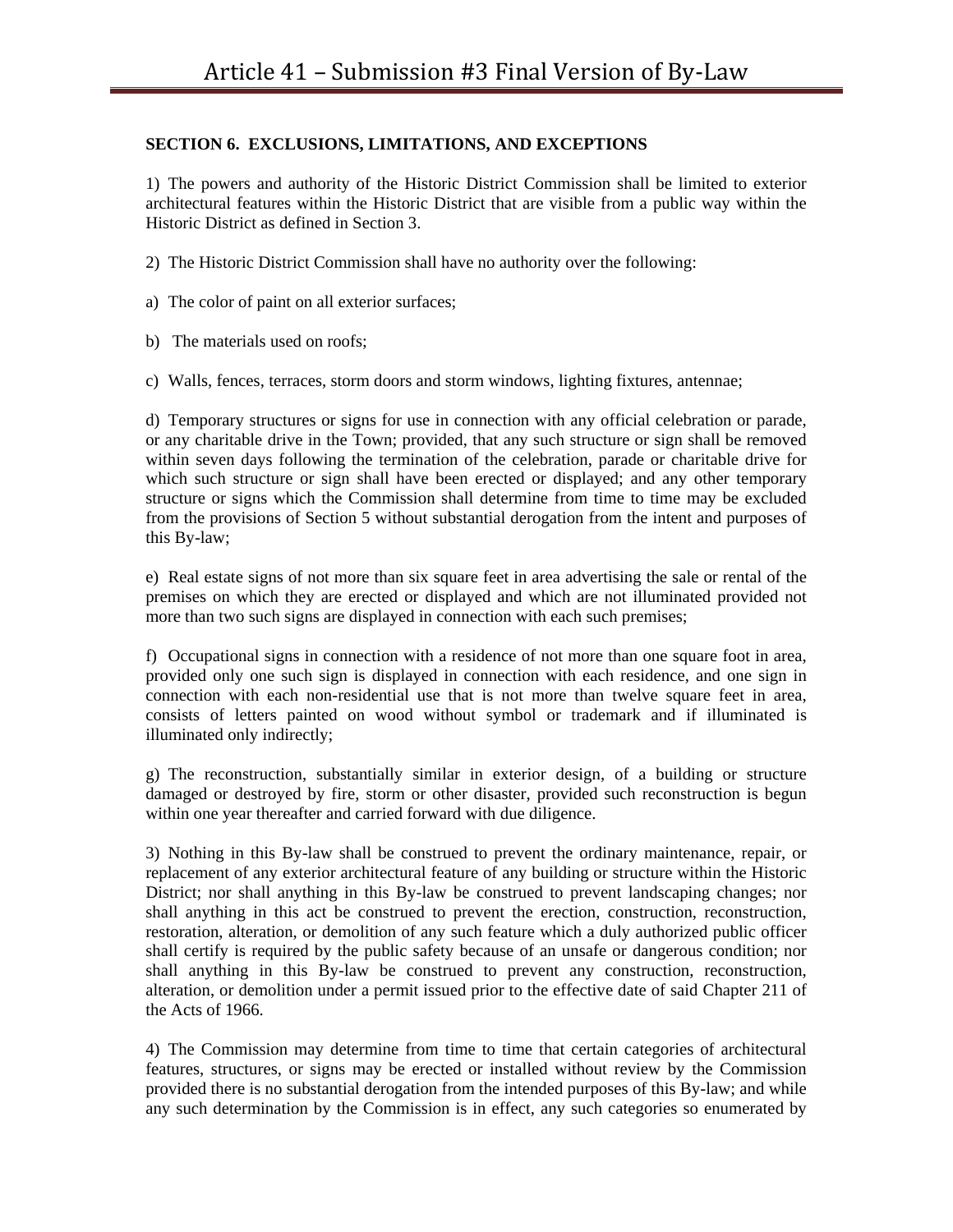# **SECTION 6. EXCLUSIONS, LIMITATIONS, AND EXCEPTIONS**

1) The powers and authority of the Historic District Commission shall be limited to exterior architectural features within the Historic District that are visible from a public way within the Historic District as defined in Section 3.

2) The Historic District Commission shall have no authority over the following:

a) The color of paint on all exterior surfaces;

b) The materials used on roofs;

c) Walls, fences, terraces, storm doors and storm windows, lighting fixtures, antennae;

d) Temporary structures or signs for use in connection with any official celebration or parade, or any charitable drive in the Town; provided, that any such structure or sign shall be removed within seven days following the termination of the celebration, parade or charitable drive for which such structure or sign shall have been erected or displayed; and any other temporary structure or signs which the Commission shall determine from time to time may be excluded from the provisions of Section 5 without substantial derogation from the intent and purposes of this By-law;

e) Real estate signs of not more than six square feet in area advertising the sale or rental of the premises on which they are erected or displayed and which are not illuminated provided not more than two such signs are displayed in connection with each such premises;

f) Occupational signs in connection with a residence of not more than one square foot in area, provided only one such sign is displayed in connection with each residence, and one sign in connection with each non-residential use that is not more than twelve square feet in area, consists of letters painted on wood without symbol or trademark and if illuminated is illuminated only indirectly;

g) The reconstruction, substantially similar in exterior design, of a building or structure damaged or destroyed by fire, storm or other disaster, provided such reconstruction is begun within one year thereafter and carried forward with due diligence.

3) Nothing in this By-law shall be construed to prevent the ordinary maintenance, repair, or replacement of any exterior architectural feature of any building or structure within the Historic District; nor shall anything in this By-law be construed to prevent landscaping changes; nor shall anything in this act be construed to prevent the erection, construction, reconstruction, restoration, alteration, or demolition of any such feature which a duly authorized public officer shall certify is required by the public safety because of an unsafe or dangerous condition; nor shall anything in this By-law be construed to prevent any construction, reconstruction, alteration, or demolition under a permit issued prior to the effective date of said Chapter 211 of the Acts of 1966.

4) The Commission may determine from time to time that certain categories of architectural features, structures, or signs may be erected or installed without review by the Commission provided there is no substantial derogation from the intended purposes of this By-law; and while any such determination by the Commission is in effect, any such categories so enumerated by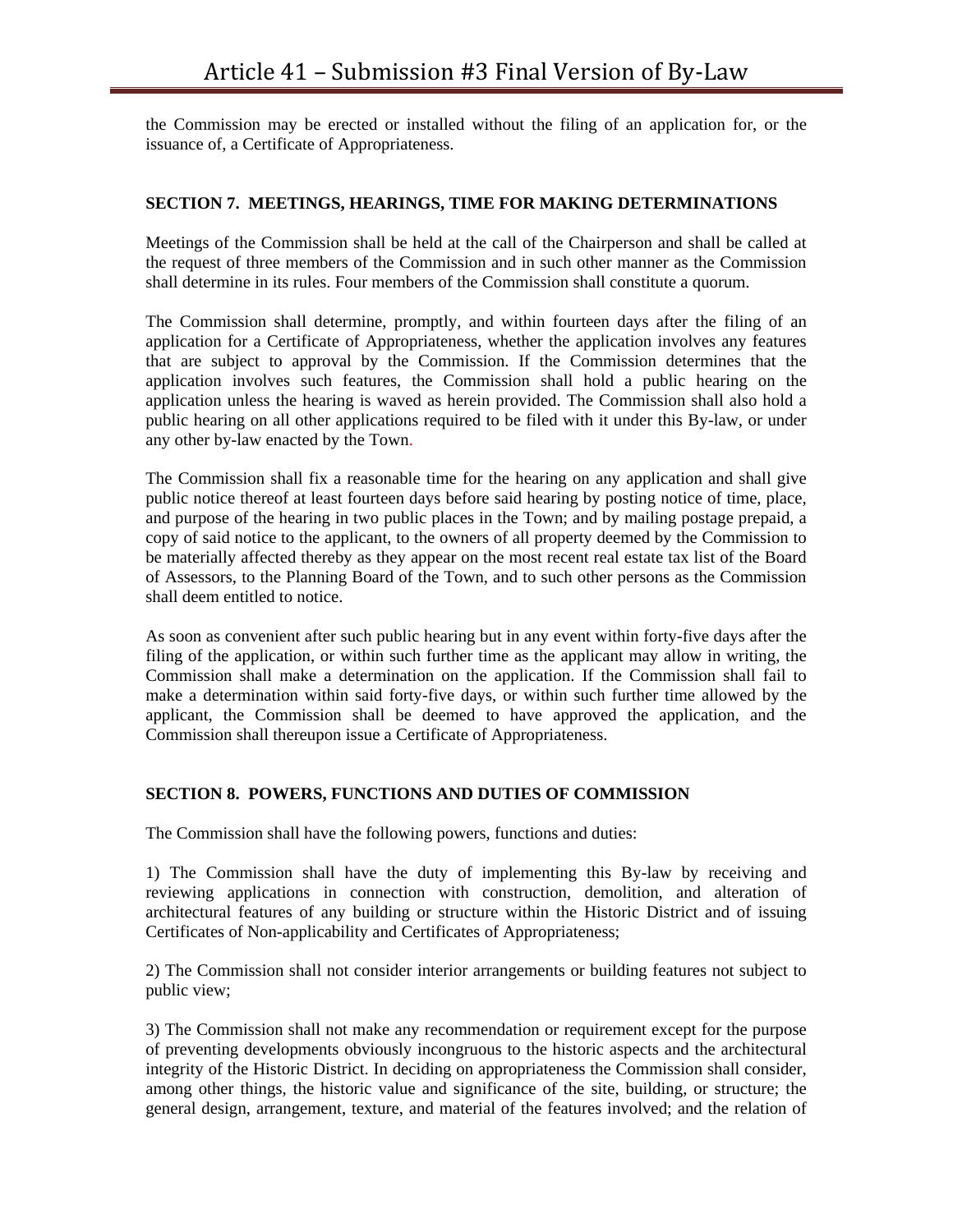the Commission may be erected or installed without the filing of an application for, or the issuance of, a Certificate of Appropriateness.

### **SECTION 7. MEETINGS, HEARINGS, TIME FOR MAKING DETERMINATIONS**

Meetings of the Commission shall be held at the call of the Chairperson and shall be called at the request of three members of the Commission and in such other manner as the Commission shall determine in its rules. Four members of the Commission shall constitute a quorum.

The Commission shall determine, promptly, and within fourteen days after the filing of an application for a Certificate of Appropriateness, whether the application involves any features that are subject to approval by the Commission. If the Commission determines that the application involves such features, the Commission shall hold a public hearing on the application unless the hearing is waved as herein provided. The Commission shall also hold a public hearing on all other applications required to be filed with it under this By-law, or under any other by-law enacted by the Town.

The Commission shall fix a reasonable time for the hearing on any application and shall give public notice thereof at least fourteen days before said hearing by posting notice of time, place, and purpose of the hearing in two public places in the Town; and by mailing postage prepaid, a copy of said notice to the applicant, to the owners of all property deemed by the Commission to be materially affected thereby as they appear on the most recent real estate tax list of the Board of Assessors, to the Planning Board of the Town, and to such other persons as the Commission shall deem entitled to notice.

As soon as convenient after such public hearing but in any event within forty-five days after the filing of the application, or within such further time as the applicant may allow in writing, the Commission shall make a determination on the application. If the Commission shall fail to make a determination within said forty-five days, or within such further time allowed by the applicant, the Commission shall be deemed to have approved the application, and the Commission shall thereupon issue a Certificate of Appropriateness.

### **SECTION 8. POWERS, FUNCTIONS AND DUTIES OF COMMISSION**

The Commission shall have the following powers, functions and duties:

1) The Commission shall have the duty of implementing this By-law by receiving and reviewing applications in connection with construction, demolition, and alteration of architectural features of any building or structure within the Historic District and of issuing Certificates of Non-applicability and Certificates of Appropriateness;

2) The Commission shall not consider interior arrangements or building features not subject to public view;

3) The Commission shall not make any recommendation or requirement except for the purpose of preventing developments obviously incongruous to the historic aspects and the architectural integrity of the Historic District. In deciding on appropriateness the Commission shall consider, among other things, the historic value and significance of the site, building, or structure; the general design, arrangement, texture, and material of the features involved; and the relation of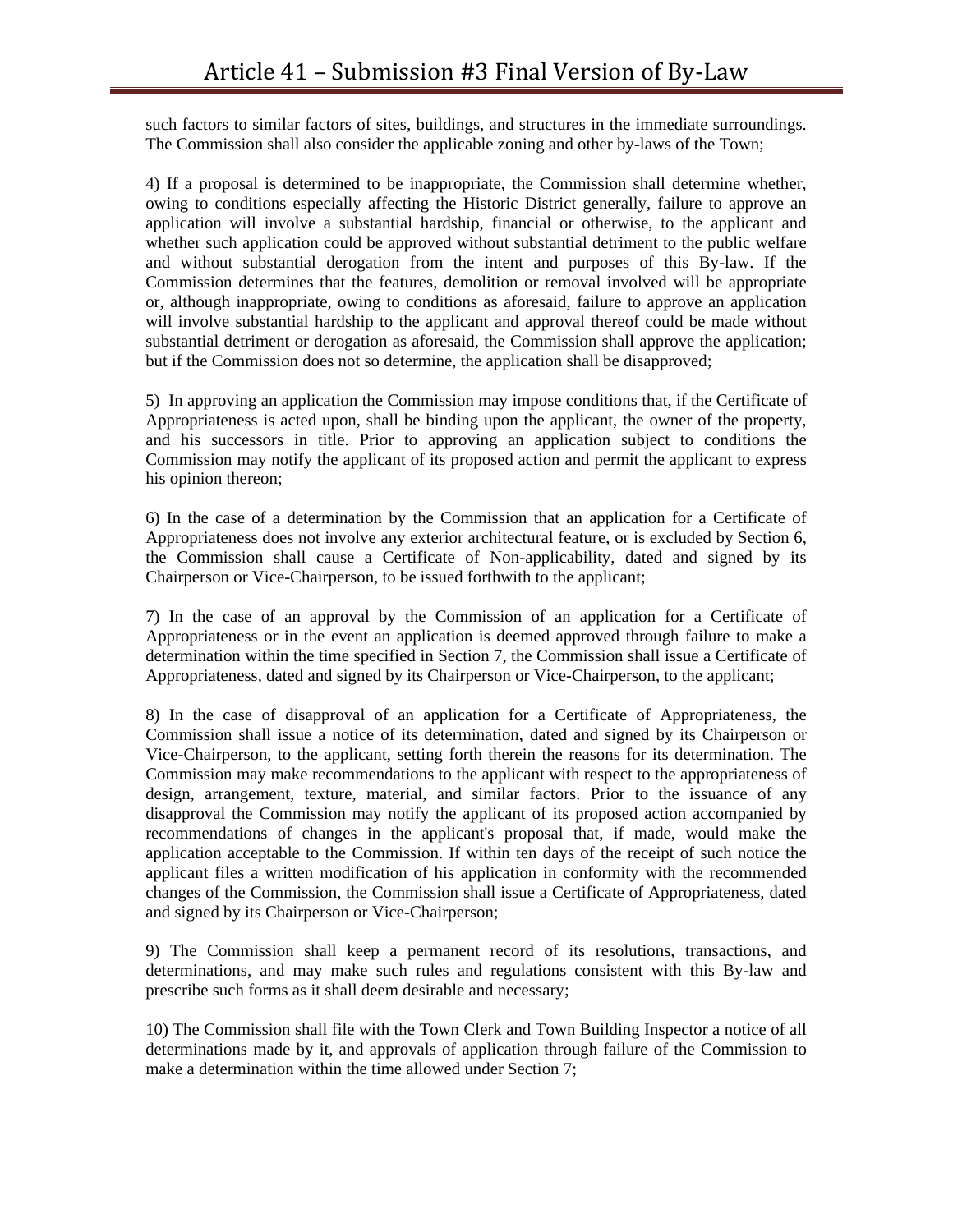such factors to similar factors of sites, buildings, and structures in the immediate surroundings. The Commission shall also consider the applicable zoning and other by-laws of the Town;

4) If a proposal is determined to be inappropriate, the Commission shall determine whether, owing to conditions especially affecting the Historic District generally, failure to approve an application will involve a substantial hardship, financial or otherwise, to the applicant and whether such application could be approved without substantial detriment to the public welfare and without substantial derogation from the intent and purposes of this By-law. If the Commission determines that the features, demolition or removal involved will be appropriate or, although inappropriate, owing to conditions as aforesaid, failure to approve an application will involve substantial hardship to the applicant and approval thereof could be made without substantial detriment or derogation as aforesaid, the Commission shall approve the application; but if the Commission does not so determine, the application shall be disapproved;

5) In approving an application the Commission may impose conditions that, if the Certificate of Appropriateness is acted upon, shall be binding upon the applicant, the owner of the property, and his successors in title. Prior to approving an application subject to conditions the Commission may notify the applicant of its proposed action and permit the applicant to express his opinion thereon;

6) In the case of a determination by the Commission that an application for a Certificate of Appropriateness does not involve any exterior architectural feature, or is excluded by Section 6, the Commission shall cause a Certificate of Non-applicability, dated and signed by its Chairperson or Vice-Chairperson, to be issued forthwith to the applicant;

7) In the case of an approval by the Commission of an application for a Certificate of Appropriateness or in the event an application is deemed approved through failure to make a determination within the time specified in Section 7, the Commission shall issue a Certificate of Appropriateness, dated and signed by its Chairperson or Vice-Chairperson, to the applicant;

8) In the case of disapproval of an application for a Certificate of Appropriateness, the Commission shall issue a notice of its determination, dated and signed by its Chairperson or Vice-Chairperson, to the applicant, setting forth therein the reasons for its determination. The Commission may make recommendations to the applicant with respect to the appropriateness of design, arrangement, texture, material, and similar factors. Prior to the issuance of any disapproval the Commission may notify the applicant of its proposed action accompanied by recommendations of changes in the applicant's proposal that, if made, would make the application acceptable to the Commission. If within ten days of the receipt of such notice the applicant files a written modification of his application in conformity with the recommended changes of the Commission, the Commission shall issue a Certificate of Appropriateness, dated and signed by its Chairperson or Vice-Chairperson;

9) The Commission shall keep a permanent record of its resolutions, transactions, and determinations, and may make such rules and regulations consistent with this By-law and prescribe such forms as it shall deem desirable and necessary;

10) The Commission shall file with the Town Clerk and Town Building Inspector a notice of all determinations made by it, and approvals of application through failure of the Commission to make a determination within the time allowed under Section 7;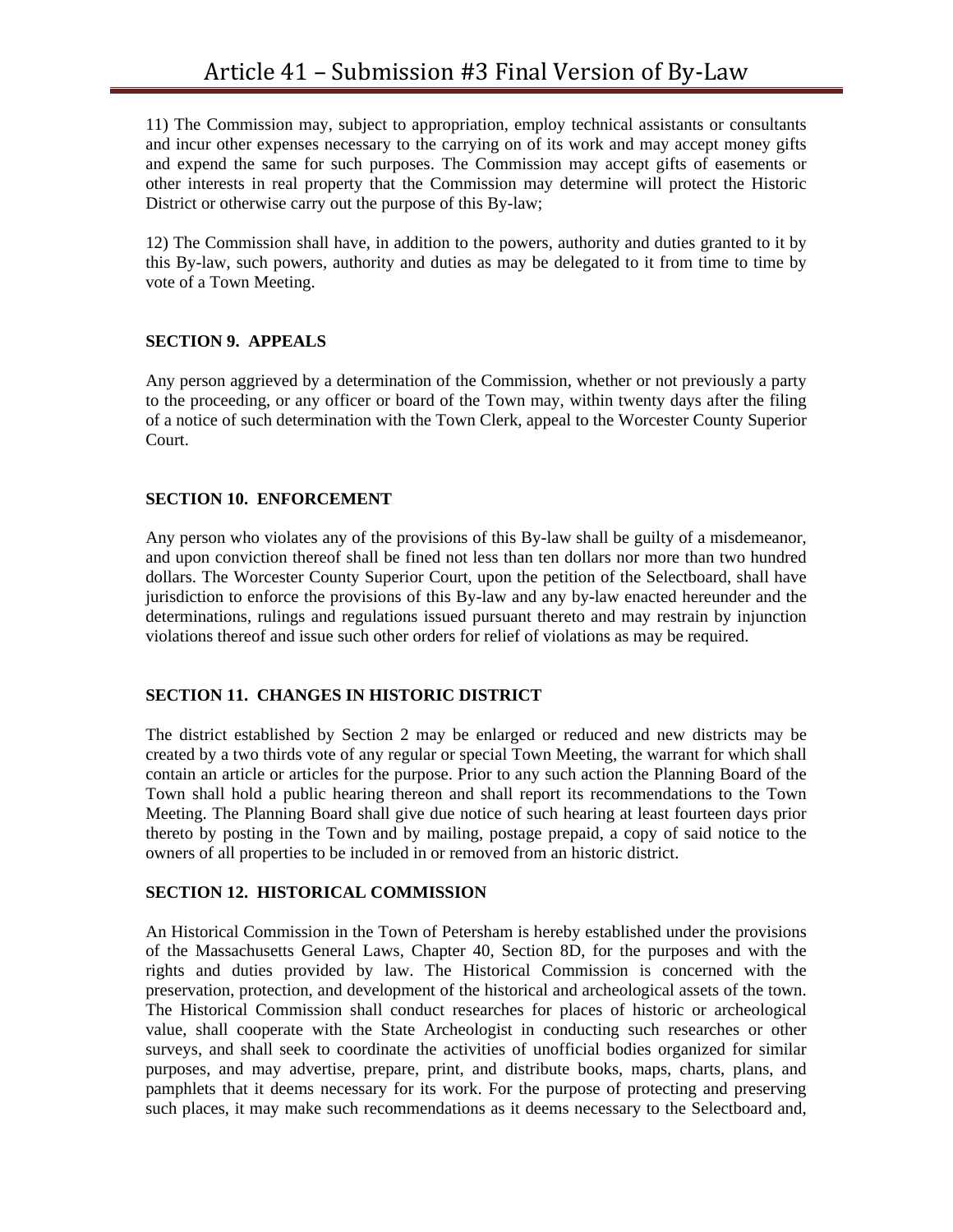11) The Commission may, subject to appropriation, employ technical assistants or consultants and incur other expenses necessary to the carrying on of its work and may accept money gifts and expend the same for such purposes. The Commission may accept gifts of easements or other interests in real property that the Commission may determine will protect the Historic District or otherwise carry out the purpose of this By-law;

12) The Commission shall have, in addition to the powers, authority and duties granted to it by this By-law, such powers, authority and duties as may be delegated to it from time to time by vote of a Town Meeting.

#### **SECTION 9. APPEALS**

Any person aggrieved by a determination of the Commission, whether or not previously a party to the proceeding, or any officer or board of the Town may, within twenty days after the filing of a notice of such determination with the Town Clerk, appeal to the Worcester County Superior Court.

### **SECTION 10. ENFORCEMENT**

Any person who violates any of the provisions of this By-law shall be guilty of a misdemeanor, and upon conviction thereof shall be fined not less than ten dollars nor more than two hundred dollars. The Worcester County Superior Court, upon the petition of the Selectboard, shall have jurisdiction to enforce the provisions of this By-law and any by-law enacted hereunder and the determinations, rulings and regulations issued pursuant thereto and may restrain by injunction violations thereof and issue such other orders for relief of violations as may be required.

### **SECTION 11. CHANGES IN HISTORIC DISTRICT**

The district established by Section 2 may be enlarged or reduced and new districts may be created by a two thirds vote of any regular or special Town Meeting, the warrant for which shall contain an article or articles for the purpose. Prior to any such action the Planning Board of the Town shall hold a public hearing thereon and shall report its recommendations to the Town Meeting. The Planning Board shall give due notice of such hearing at least fourteen days prior thereto by posting in the Town and by mailing, postage prepaid, a copy of said notice to the owners of all properties to be included in or removed from an historic district.

### **SECTION 12. HISTORICAL COMMISSION**

An Historical Commission in the Town of Petersham is hereby established under the provisions of the Massachusetts General Laws, Chapter 40, Section 8D, for the purposes and with the rights and duties provided by law. The Historical Commission is concerned with the preservation, protection, and development of the historical and archeological assets of the town. The Historical Commission shall conduct researches for places of historic or archeological value, shall cooperate with the State Archeologist in conducting such researches or other surveys, and shall seek to coordinate the activities of unofficial bodies organized for similar purposes, and may advertise, prepare, print, and distribute books, maps, charts, plans, and pamphlets that it deems necessary for its work. For the purpose of protecting and preserving such places, it may make such recommendations as it deems necessary to the Selectboard and,